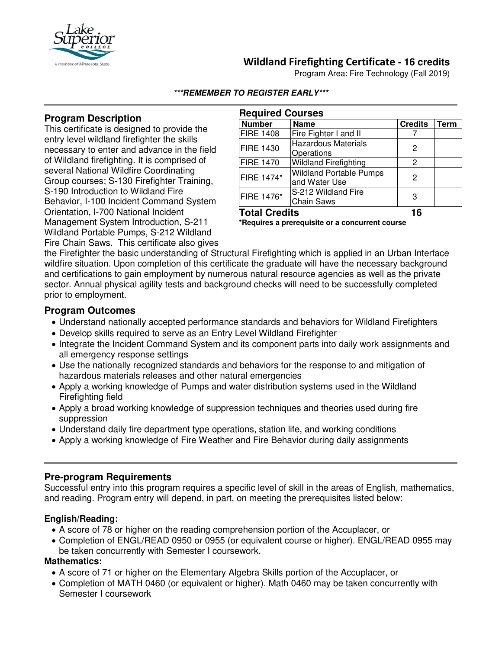

## **Wildland Firefighting Certificate - 16 credits**

Program Area: Fire Technology (Fall 2019)

#### **\*\*\*REMEMBER TO REGISTER EARLY\*\*\***

### **Program Description**

This certificate is designed to provide the entry level wildland firefighter the skills necessary to enter and advance in the field of Wildland firefighting. It is comprised of several National Wildfire Coordinating Group courses; S-130 Firefighter Training, S-190 Introduction to Wildland Fire Behavior, I-100 Incident Command System Orientation, I-700 National Incident Management System Introduction, S-211 Wildland Portable Pumps, S-212 Wildland

| <b>Required Courses</b> |                                                 |                |      |
|-------------------------|-------------------------------------------------|----------------|------|
| <b>Number</b>           | <b>Name</b>                                     | <b>Credits</b> | Term |
| <b>FIRE 1408</b>        | Fire Fighter I and II                           |                |      |
| <b>FIRE 1430</b>        | <b>Hazardous Materials</b><br>Operations        | 2              |      |
| <b>FIRE 1470</b>        | <b>Wildland Firefighting</b>                    | 2              |      |
| <b>FIRE 1474*</b>       | <b>Wildland Portable Pumps</b><br>and Water Use | 2              |      |
| FIRE 1476*              | S-212 Wildland Fire<br><b>Chain Saws</b>        | 3              |      |
|                         |                                                 |                |      |

**Total Credits 16**

**\*Requires a prerequisite or a concurrent course**

Fire Chain Saws. This certificate also gives the Firefighter the basic understanding of Structural Firefighting which is applied in an Urban Interface wildfire situation. Upon completion of this certificate the graduate will have the necessary background and certifications to gain employment by numerous natural resource agencies as well as the private sector. Annual physical agility tests and background checks will need to be successfully completed prior to employment.

### **Program Outcomes**

- Understand nationally accepted performance standards and behaviors for Wildland Firefighters
- Develop skills required to serve as an Entry Level Wildland Firefighter
- Integrate the Incident Command System and its component parts into daily work assignments and all emergency response settings
- Use the nationally recognized standards and behaviors for the response to and mitigation of hazardous materials releases and other natural emergencies
- Apply a working knowledge of Pumps and water distribution systems used in the Wildland Firefighting field
- Apply a broad working knowledge of suppression techniques and theories used during fire suppression
- Understand daily fire department type operations, station life, and working conditions
- Apply a working knowledge of Fire Weather and Fire Behavior during daily assignments

### **Pre-program Requirements**

Successful entry into this program requires a specific level of skill in the areas of English, mathematics, and reading. Program entry will depend, in part, on meeting the prerequisites listed below:

### **English/Reading:**

- A score of 78 or higher on the reading comprehension portion of the Accuplacer, or
- Completion of ENGL/READ 0950 or 0955 (or equivalent course or higher). ENGL/READ 0955 may be taken concurrently with Semester I coursework.

### **Mathematics:**

- A score of 71 or higher on the Elementary Algebra Skills portion of the Accuplacer, or
- Completion of MATH 0460 (or equivalent or higher). Math 0460 may be taken concurrently with Semester I coursework